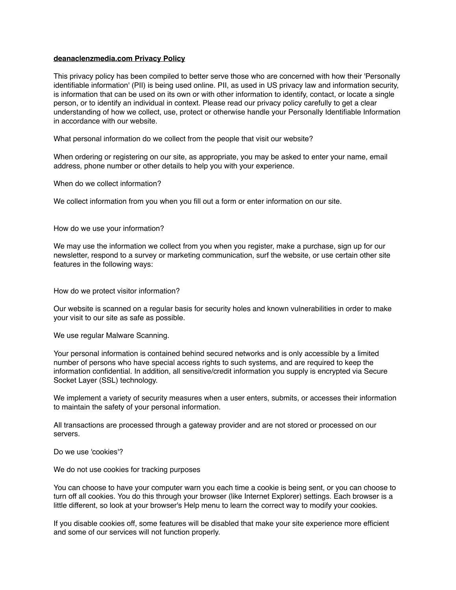## **deanaclenzmedia.com Privacy Policy**

This privacy policy has been compiled to better serve those who are concerned with how their 'Personally identifiable information' (PII) is being used online. PII, as used in US privacy law and information security, is information that can be used on its own or with other information to identify, contact, or locate a single person, or to identify an individual in context. Please read our privacy policy carefully to get a clear understanding of how we collect, use, protect or otherwise handle your Personally Identifiable Information in accordance with our website.

What personal information do we collect from the people that visit our website?

When ordering or registering on our site, as appropriate, you may be asked to enter your name, email address, phone number or other details to help you with your experience.

When do we collect information?

We collect information from you when you fill out a form or enter information on our site.

How do we use your information?

We may use the information we collect from you when you register, make a purchase, sign up for our newsletter, respond to a survey or marketing communication, surf the website, or use certain other site features in the following ways:

How do we protect visitor information?

Our website is scanned on a regular basis for security holes and known vulnerabilities in order to make your visit to our site as safe as possible.

We use regular Malware Scanning.

Your personal information is contained behind secured networks and is only accessible by a limited number of persons who have special access rights to such systems, and are required to keep the information confidential. In addition, all sensitive/credit information you supply is encrypted via Secure Socket Layer (SSL) technology.

We implement a variety of security measures when a user enters, submits, or accesses their information to maintain the safety of your personal information.

All transactions are processed through a gateway provider and are not stored or processed on our servers.

Do we use 'cookies'?

We do not use cookies for tracking purposes

You can choose to have your computer warn you each time a cookie is being sent, or you can choose to turn off all cookies. You do this through your browser (like Internet Explorer) settings. Each browser is a little different, so look at your browser's Help menu to learn the correct way to modify your cookies.

If you disable cookies off, some features will be disabled that make your site experience more efficient and some of our services will not function properly.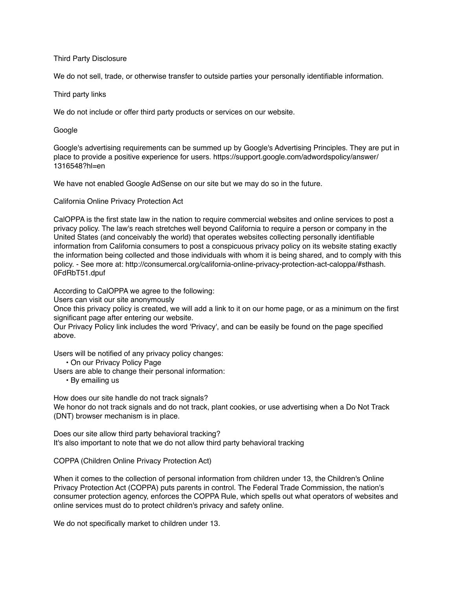## Third Party Disclosure

We do not sell, trade, or otherwise transfer to outside parties your personally identifiable information.

Third party links

We do not include or offer third party products or services on our website.

Google

Google's advertising requirements can be summed up by Google's Advertising Principles. They are put in place to provide a positive experience for users. https://support.google.com/adwordspolicy/answer/ 1316548?hl=en

We have not enabled Google AdSense on our site but we may do so in the future.

California Online Privacy Protection Act

CalOPPA is the first state law in the nation to require commercial websites and online services to post a privacy policy. The law's reach stretches well beyond California to require a person or company in the United States (and conceivably the world) that operates websites collecting personally identifiable information from California consumers to post a conspicuous privacy policy on its website stating exactly the information being collected and those individuals with whom it is being shared, and to comply with this policy. - See more at: http://consumercal.org/california-online-privacy-protection-act-caloppa/#sthash. 0FdRbT51.dpuf

According to CalOPPA we agree to the following:

Users can visit our site anonymously

Once this privacy policy is created, we will add a link to it on our home page, or as a minimum on the first significant page after entering our website.

Our Privacy Policy link includes the word 'Privacy', and can be easily be found on the page specified above.

Users will be notified of any privacy policy changes:

• On our Privacy Policy Page

Users are able to change their personal information:

• By emailing us

How does our site handle do not track signals? We honor do not track signals and do not track, plant cookies, or use advertising when a Do Not Track (DNT) browser mechanism is in place.

Does our site allow third party behavioral tracking? It's also important to note that we do not allow third party behavioral tracking

COPPA (Children Online Privacy Protection Act)

When it comes to the collection of personal information from children under 13, the Children's Online Privacy Protection Act (COPPA) puts parents in control. The Federal Trade Commission, the nation's consumer protection agency, enforces the COPPA Rule, which spells out what operators of websites and online services must do to protect children's privacy and safety online.

We do not specifically market to children under 13.